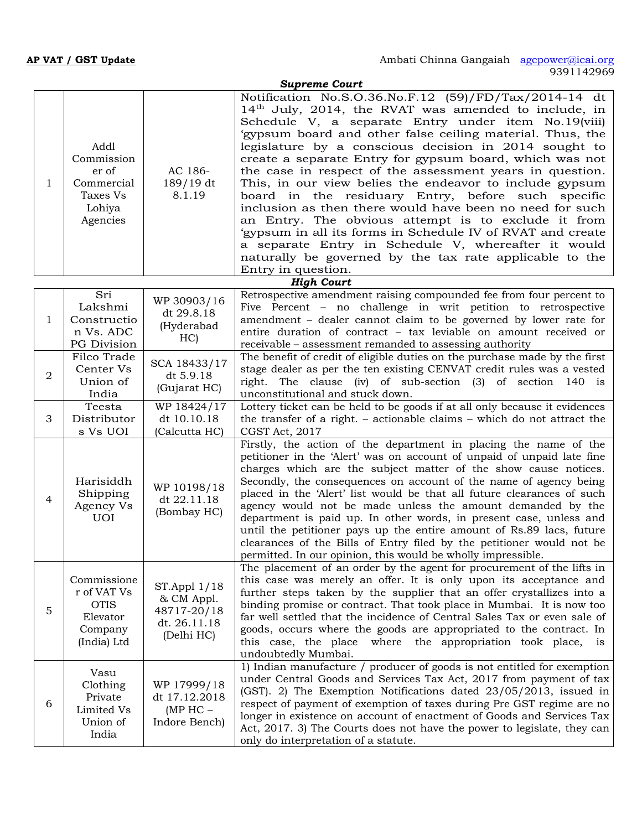|   |                                                                                 |                                                                          | <b>Supreme Court</b>                                                                                                                                                                                                                                                                                                                                                                                                                                                                                                                                                                                                                                                                                                                                                                                                                                                    |
|---|---------------------------------------------------------------------------------|--------------------------------------------------------------------------|-------------------------------------------------------------------------------------------------------------------------------------------------------------------------------------------------------------------------------------------------------------------------------------------------------------------------------------------------------------------------------------------------------------------------------------------------------------------------------------------------------------------------------------------------------------------------------------------------------------------------------------------------------------------------------------------------------------------------------------------------------------------------------------------------------------------------------------------------------------------------|
| 1 | Addl<br>Commission<br>er of<br>Commercial<br>Taxes Vs<br>Lohiya<br>Agencies     | AC 186-<br>189/19 dt<br>8.1.19                                           | Notification No.S.O.36.No.F.12 (59)/FD/Tax/2014-14 dt<br>14 <sup>th</sup> July, 2014, the RVAT was amended to include, in<br>Schedule V, a separate Entry under item No.19(viii)<br>'gypsum board and other false ceiling material. Thus, the<br>legislature by a conscious decision in 2014 sought to<br>create a separate Entry for gypsum board, which was not<br>the case in respect of the assessment years in question.<br>This, in our view belies the endeavor to include gypsum<br>board in the residuary Entry, before such specific<br>inclusion as then there would have been no need for such<br>an Entry. The obvious attempt is to exclude it from<br>'gypsum in all its forms in Schedule IV of RVAT and create<br>a separate Entry in Schedule V, whereafter it would<br>naturally be governed by the tax rate applicable to the<br>Entry in question. |
|   |                                                                                 |                                                                          | <b>High Court</b>                                                                                                                                                                                                                                                                                                                                                                                                                                                                                                                                                                                                                                                                                                                                                                                                                                                       |
| 1 | Sri<br>Lakshmi<br>Constructio<br>n Vs. ADC<br>PG Division                       | WP 30903/16<br>dt 29.8.18<br>(Hyderabad<br>HC)                           | Retrospective amendment raising compounded fee from four percent to<br>Five Percent - no challenge in writ petition to retrospective<br>amendment – dealer cannot claim to be governed by lower rate for<br>entire duration of contract - tax leviable on amount received or<br>receivable - assessment remanded to assessing authority                                                                                                                                                                                                                                                                                                                                                                                                                                                                                                                                 |
| 2 | Filco Trade<br>Center Vs<br>Union of<br>India                                   | SCA 18433/17<br>dt 5.9.18<br>(Gujarat HC)                                | The benefit of credit of eligible duties on the purchase made by the first<br>stage dealer as per the ten existing CENVAT credit rules was a vested<br>right. The clause (iv) of sub-section (3) of section 140 is<br>unconstitutional and stuck down.                                                                                                                                                                                                                                                                                                                                                                                                                                                                                                                                                                                                                  |
| 3 | Teesta<br>Distributor<br>s Vs UOI                                               | WP 18424/17<br>dt 10.10.18<br>(Calcutta HC)                              | Lottery ticket can be held to be goods if at all only because it evidences<br>the transfer of a right. – actionable claims – which do not attract the<br>CGST Act, 2017                                                                                                                                                                                                                                                                                                                                                                                                                                                                                                                                                                                                                                                                                                 |
| 4 | Harisiddh<br>Shipping<br>Agency Vs<br><b>UOI</b>                                | WP 10198/18<br>dt 22.11.18<br>(Bombay HC)                                | Firstly, the action of the department in placing the name of the<br>petitioner in the 'Alert' was on account of unpaid of unpaid late fine<br>charges which are the subject matter of the show cause notices.<br>Secondly, the consequences on account of the name of agency being<br>placed in the 'Alert' list would be that all future clearances of such<br>agency would not be made unless the amount demanded by the<br>department is paid up. In other words, in present case, unless and<br>until the petitioner pays up the entire amount of Rs.89 lacs, future<br>clearances of the Bills of Entry filed by the petitioner would not be<br>permitted. In our opinion, this would be wholly impressible.                                                                                                                                                       |
| 5 | Commissione<br>r of VAT Vs<br><b>OTIS</b><br>Elevator<br>Company<br>(India) Ltd | $STAppl$ 1/18<br>& CM Appl.<br>48717-20/18<br>dt. 26.11.18<br>(Delhi HC) | The placement of an order by the agent for procurement of the lifts in<br>this case was merely an offer. It is only upon its acceptance and<br>further steps taken by the supplier that an offer crystallizes into a<br>binding promise or contract. That took place in Mumbai. It is now too<br>far well settled that the incidence of Central Sales Tax or even sale of<br>goods, occurs where the goods are appropriated to the contract. In<br>this case, the place where the appropriation took place, is<br>undoubtedly Mumbai.                                                                                                                                                                                                                                                                                                                                   |
| 6 | Vasu<br>Clothing<br>Private<br>Limited Vs<br>Union of<br>India                  | WP 17999/18<br>dt 17.12.2018<br>$(MP HC -$<br>Indore Bench)              | 1) Indian manufacture / producer of goods is not entitled for exemption<br>under Central Goods and Services Tax Act, 2017 from payment of tax<br>(GST). 2) The Exemption Notifications dated 23/05/2013, issued in<br>respect of payment of exemption of taxes during Pre GST regime are no<br>longer in existence on account of enactment of Goods and Services Tax<br>Act, 2017. 3) The Courts does not have the power to legislate, they can<br>only do interpretation of a statute.                                                                                                                                                                                                                                                                                                                                                                                 |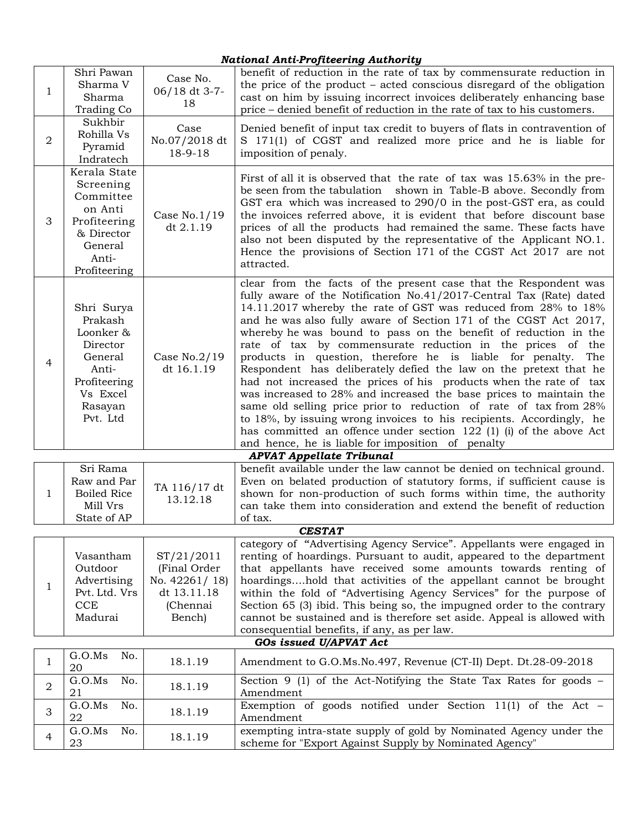## *National Anti-Profiteering Authority*

| -1             | Shri Pawan<br>Sharma V<br>Sharma<br>Trading Co                                                                        | Case No.<br>06/18 dt 3-7-<br>18                                                  | benefit of reduction in the rate of tax by commensurate reduction in<br>the price of the product – acted conscious disregard of the obligation<br>cast on him by issuing incorrect invoices deliberately enhancing base<br>price – denied benefit of reduction in the rate of tax to his customers.                                                                                                                                                                                                                                                                                                                                                                                                                                                                                                                                                                                                                                                                      |
|----------------|-----------------------------------------------------------------------------------------------------------------------|----------------------------------------------------------------------------------|--------------------------------------------------------------------------------------------------------------------------------------------------------------------------------------------------------------------------------------------------------------------------------------------------------------------------------------------------------------------------------------------------------------------------------------------------------------------------------------------------------------------------------------------------------------------------------------------------------------------------------------------------------------------------------------------------------------------------------------------------------------------------------------------------------------------------------------------------------------------------------------------------------------------------------------------------------------------------|
| $\overline{2}$ | Sukhbir<br>Rohilla Vs<br>Pyramid<br>Indratech                                                                         | Case<br>No.07/2018 dt<br>18-9-18                                                 | Denied benefit of input tax credit to buyers of flats in contravention of<br>S 171(1) of CGST and realized more price and he is liable for<br>imposition of penaly.                                                                                                                                                                                                                                                                                                                                                                                                                                                                                                                                                                                                                                                                                                                                                                                                      |
| 3              | Kerala State<br>Screening<br>Committee<br>on Anti<br>Profiteering<br>& Director<br>General<br>Anti-<br>Profiteering   | Case $No.1/19$<br>dt 2.1.19                                                      | First of all it is observed that the rate of tax was 15.63% in the pre-<br>be seen from the tabulation shown in Table-B above. Secondly from<br>GST era which was increased to 290/0 in the post-GST era, as could<br>the invoices referred above, it is evident that before discount base<br>prices of all the products had remained the same. These facts have<br>also not been disputed by the representative of the Applicant NO.1.<br>Hence the provisions of Section 171 of the CGST Act 2017 are not<br>attracted.                                                                                                                                                                                                                                                                                                                                                                                                                                                |
| 4              | Shri Surya<br>Prakash<br>Loonker &<br>Director<br>General<br>Anti-<br>Profiteering<br>Vs Excel<br>Rasayan<br>Pvt. Ltd | Case $No.2/19$<br>dt 16.1.19                                                     | clear from the facts of the present case that the Respondent was<br>fully aware of the Notification No.41/2017-Central Tax (Rate) dated<br>14.11.2017 whereby the rate of GST was reduced from 28% to 18%<br>and he was also fully aware of Section 171 of the CGST Act 2017,<br>whereby he was bound to pass on the benefit of reduction in the<br>rate of tax by commensurate reduction in the prices of the<br>products in question, therefore he is liable for penalty. The<br>Respondent has deliberately defied the law on the pretext that he<br>had not increased the prices of his products when the rate of tax<br>was increased to 28% and increased the base prices to maintain the<br>same old selling price prior to reduction of rate of tax from 28%<br>to 18%, by issuing wrong invoices to his recipients. Accordingly, he<br>has committed an offence under section 122 (1) (i) of the above Act<br>and hence, he is liable for imposition of penalty |
|                |                                                                                                                       |                                                                                  | <b>APVAT Appellate Tribunal</b>                                                                                                                                                                                                                                                                                                                                                                                                                                                                                                                                                                                                                                                                                                                                                                                                                                                                                                                                          |
| 1              | Sri Rama<br>Raw and Par<br><b>Boiled Rice</b><br>Mill Vrs<br>State of AP                                              | TA 116/17 dt<br>13.12.18                                                         | benefit available under the law cannot be denied on technical ground.<br>Even on belated production of statutory forms, if sufficient cause is<br>shown for non-production of such forms within time, the authority<br>can take them into consideration and extend the benefit of reduction<br>of tax.                                                                                                                                                                                                                                                                                                                                                                                                                                                                                                                                                                                                                                                                   |
|                |                                                                                                                       |                                                                                  | <b>CESTAT</b>                                                                                                                                                                                                                                                                                                                                                                                                                                                                                                                                                                                                                                                                                                                                                                                                                                                                                                                                                            |
| 1              | Vasantham<br>Outdoor<br>Advertising<br>Pvt. Ltd. Vrs<br>CCE<br>Madurai                                                | ST/21/2011<br>(Final Order<br>No. 42261/18)<br>dt 13.11.18<br>(Chennai<br>Bench) | category of "Advertising Agency Service". Appellants were engaged in<br>renting of hoardings. Pursuant to audit, appeared to the department<br>that appellants have received some amounts towards renting of<br>hoardingshold that activities of the appellant cannot be brought<br>within the fold of "Advertising Agency Services" for the purpose of<br>Section 65 (3) ibid. This being so, the impugned order to the contrary<br>cannot be sustained and is therefore set aside. Appeal is allowed with<br>consequential benefits, if any, as per law.                                                                                                                                                                                                                                                                                                                                                                                                               |
|                |                                                                                                                       |                                                                                  | GOs issued U/APVAT Act                                                                                                                                                                                                                                                                                                                                                                                                                                                                                                                                                                                                                                                                                                                                                                                                                                                                                                                                                   |
| 1              | No.<br>G.O.Ms<br>20                                                                                                   | 18.1.19                                                                          | Amendment to G.O.Ms.No.497, Revenue (CT-II) Dept. Dt.28-09-2018                                                                                                                                                                                                                                                                                                                                                                                                                                                                                                                                                                                                                                                                                                                                                                                                                                                                                                          |
| 2              | G.O.Ms<br>No.<br>21                                                                                                   | 18.1.19                                                                          | Section 9 (1) of the Act-Notifying the State Tax Rates for goods $-$<br>Amendment                                                                                                                                                                                                                                                                                                                                                                                                                                                                                                                                                                                                                                                                                                                                                                                                                                                                                        |
| 3              | G.O.Ms<br>No.<br>22                                                                                                   | 18.1.19                                                                          | Exemption of goods notified under Section $11(1)$ of the Act -<br>Amendment                                                                                                                                                                                                                                                                                                                                                                                                                                                                                                                                                                                                                                                                                                                                                                                                                                                                                              |
| 4              | G.O.Ms<br>No.<br>23                                                                                                   | 18.1.19                                                                          | exempting intra-state supply of gold by Nominated Agency under the<br>scheme for "Export Against Supply by Nominated Agency"                                                                                                                                                                                                                                                                                                                                                                                                                                                                                                                                                                                                                                                                                                                                                                                                                                             |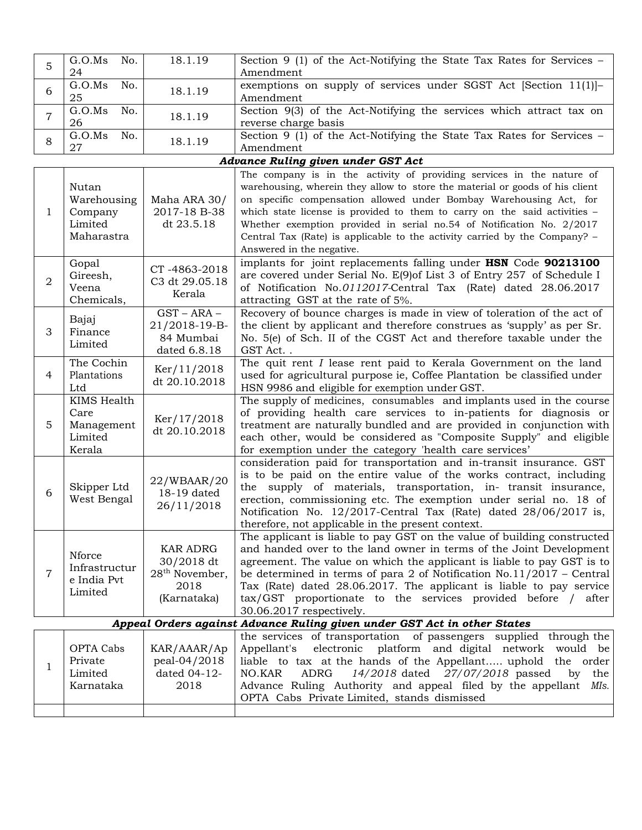| 5              | G.O.Ms<br>No.<br>24                                      | 18.1.19                                                                            | Section 9 (1) of the Act-Notifying the State Tax Rates for Services –<br>Amendment                                                                                                                                                                                                                                                                                                                                                                                                           |
|----------------|----------------------------------------------------------|------------------------------------------------------------------------------------|----------------------------------------------------------------------------------------------------------------------------------------------------------------------------------------------------------------------------------------------------------------------------------------------------------------------------------------------------------------------------------------------------------------------------------------------------------------------------------------------|
| 6              | G.O.Ms<br>No.<br>25                                      | 18.1.19                                                                            | exemptions on supply of services under SGST Act [Section 11(1)]-<br>Amendment                                                                                                                                                                                                                                                                                                                                                                                                                |
| $\overline{7}$ | G.O.Ms<br>No.<br>26                                      | 18.1.19                                                                            | Section 9(3) of the Act-Notifying the services which attract tax on<br>reverse charge basis                                                                                                                                                                                                                                                                                                                                                                                                  |
| 8              | G.O.Ms<br>No.<br>27                                      | 18.1.19                                                                            | Section 9 (1) of the Act-Notifying the State Tax Rates for Services -<br>Amendment                                                                                                                                                                                                                                                                                                                                                                                                           |
|                |                                                          |                                                                                    | Advance Ruling given under GST Act                                                                                                                                                                                                                                                                                                                                                                                                                                                           |
| 1              | Nutan<br>Warehousing<br>Company<br>Limited<br>Maharastra | Maha ARA 30/<br>2017-18 B-38<br>dt 23.5.18                                         | The company is in the activity of providing services in the nature of<br>warehousing, wherein they allow to store the material or goods of his client<br>on specific compensation allowed under Bombay Warehousing Act, for<br>which state license is provided to them to carry on the said activities -<br>Whether exemption provided in serial no.54 of Notification No. 2/2017<br>Central Tax (Rate) is applicable to the activity carried by the Company? -<br>Answered in the negative. |
| 2              | Gopal<br>Gireesh,<br>Veena<br>Chemicals,                 | CT-4863-2018<br>C3 dt 29.05.18<br>Kerala                                           | implants for joint replacements falling under HSN Code 90213100<br>are covered under Serial No. E(9) of List 3 of Entry 257 of Schedule I<br>of Notification No.0112017-Central Tax (Rate) dated 28.06.2017<br>attracting GST at the rate of 5%.                                                                                                                                                                                                                                             |
| 3              | Bajaj<br>Finance<br>Limited                              | $GST - ARA -$<br>21/2018-19-B-<br>84 Mumbai<br>dated 6.8.18                        | Recovery of bounce charges is made in view of toleration of the act of<br>the client by applicant and therefore construes as 'supply' as per Sr.<br>No. 5(e) of Sch. II of the CGST Act and therefore taxable under the<br>GST Act                                                                                                                                                                                                                                                           |
| 4              | The Cochin<br>Plantations<br>Ltd                         | Ker/11/2018<br>dt 20.10.2018                                                       | The quit rent I lease rent paid to Kerala Government on the land<br>used for agricultural purpose ie, Coffee Plantation be classified under<br>HSN 9986 and eligible for exemption under GST.                                                                                                                                                                                                                                                                                                |
| 5              | KIMS Health<br>Care<br>Management<br>Limited<br>Kerala   | Ker/17/2018<br>dt 20.10.2018                                                       | The supply of medicines, consumables and implants used in the course<br>of providing health care services to in-patients for diagnosis or<br>treatment are naturally bundled and are provided in conjunction with<br>each other, would be considered as "Composite Supply" and eligible<br>for exemption under the category 'health care services'                                                                                                                                           |
| 6              | Skipper Ltd<br>West Bengal                               | 22/WBAAR/20<br>18-19 dated<br>26/11/2018                                           | consideration paid for transportation and in-transit insurance. GST<br>is to be paid on the entire value of the works contract, including<br>the supply of materials, transportation, in- transit insurance,<br>erection, commissioning etc. The exemption under serial no. 18 of<br>Notification No. 12/2017-Central Tax (Rate) dated 28/06/2017 is,<br>therefore, not applicable in the present context.                                                                                   |
| $\overline{7}$ | Nforce<br>Infrastructur<br>e India Pvt<br>Limited        | <b>KAR ADRG</b><br>30/2018 dt<br>28 <sup>th</sup> November,<br>2018<br>(Karnataka) | The applicant is liable to pay GST on the value of building constructed<br>and handed over to the land owner in terms of the Joint Development<br>agreement. The value on which the applicant is liable to pay GST is to<br>be determined in terms of para 2 of Notification $No.11/2017$ – Central<br>Tax (Rate) dated 28.06.2017. The applicant is liable to pay service<br>tax/GST proportionate to the services provided before / after<br>30.06.2017 respectively.                      |
|                |                                                          |                                                                                    | Appeal Orders against Advance Ruling given under GST Act in other States                                                                                                                                                                                                                                                                                                                                                                                                                     |
| 1              | OPTA Cabs<br>Private<br>Limited<br>Karnataka             | KAR/AAAR/Ap<br>peal-04/2018<br>dated 04-12-<br>2018                                | the services of transportation of passengers supplied through the<br>electronic platform and digital network would be<br>Appellant's<br>liable to tax at the hands of the Appellant uphold the order<br>14/2018 dated 27/07/2018 passed by the<br>NO.KAR<br>ADRG<br>Advance Ruling Authority and appeal filed by the appellant MIs.<br>OPTA Cabs Private Limited, stands dismissed                                                                                                           |
|                |                                                          |                                                                                    |                                                                                                                                                                                                                                                                                                                                                                                                                                                                                              |